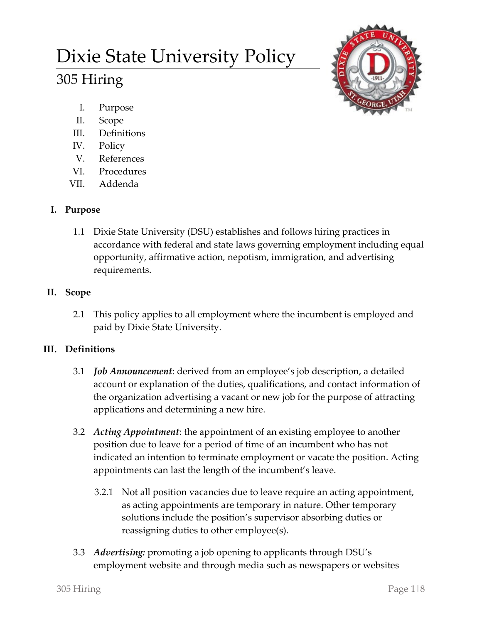# Dixie State University Policy

# 305 Hiring



- I. Purpose
- II. Scope
- III. Definitions
- IV. Policy
- V. References
- VI. Procedures
- VII. Addenda

# **I. Purpose**

1.1 Dixie State University (DSU) establishes and follows hiring practices in accordance with federal and state laws governing employment including equal opportunity, affirmative action, nepotism, immigration, and advertising requirements.

# **II. Scope**

2.1 This policy applies to all employment where the incumbent is employed and paid by Dixie State University.

# **III. Definitions**

- 3.1 *Job Announcement*: derived from an employee's job description, a detailed account or explanation of the duties, qualifications, and contact information of the organization advertising a vacant or new job for the purpose of attracting applications and determining a new hire.
- 3.2 *Acting Appointment*: the appointment of an existing employee to another position due to leave for a period of time of an incumbent who has not indicated an intention to terminate employment or vacate the position. Acting appointments can last the length of the incumbent's leave.
	- 3.2.1 Not all position vacancies due to leave require an acting appointment, as acting appointments are temporary in nature. Other temporary solutions include the position's supervisor absorbing duties or reassigning duties to other employee(s).
- 3.3 *Advertising:* promoting a job opening to applicants through DSU's employment website and through media such as newspapers or websites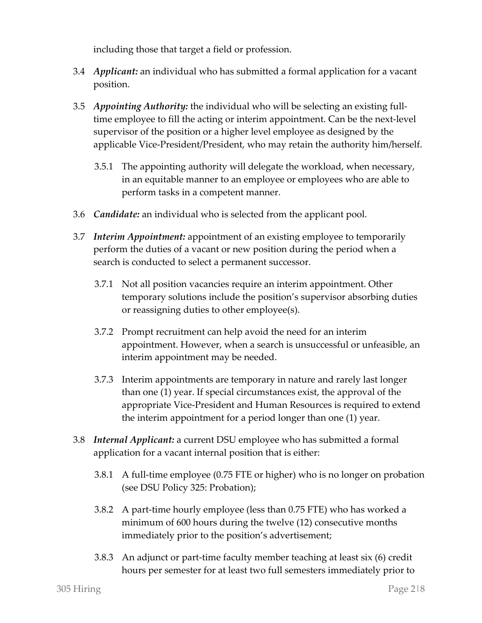including those that target a field or profession.

- 3.4 *Applicant:* an individual who has submitted a formal application for a vacant position.
- 3.5 *Appointing Authority:* the individual who will be selecting an existing fulltime employee to fill the acting or interim appointment. Can be the next-level supervisor of the position or a higher level employee as designed by the applicable Vice-President/President, who may retain the authority him/herself.
	- 3.5.1 The appointing authority will delegate the workload, when necessary, in an equitable manner to an employee or employees who are able to perform tasks in a competent manner.
- 3.6 *Candidate:* an individual who is selected from the applicant pool.
- 3.7 *Interim Appointment:* appointment of an existing employee to temporarily perform the duties of a vacant or new position during the period when a search is conducted to select a permanent successor.
	- 3.7.1 Not all position vacancies require an interim appointment. Other temporary solutions include the position's supervisor absorbing duties or reassigning duties to other employee(s).
	- 3.7.2 Prompt recruitment can help avoid the need for an interim appointment. However, when a search is unsuccessful or unfeasible, an interim appointment may be needed.
	- 3.7.3 Interim appointments are temporary in nature and rarely last longer than one (1) year. If special circumstances exist, the approval of the appropriate Vice-President and Human Resources is required to extend the interim appointment for a period longer than one (1) year.
- 3.8 *Internal Applicant:* a current DSU employee who has submitted a formal application for a vacant internal position that is either:
	- 3.8.1 A full-time employee (0.75 FTE or higher) who is no longer on probation (see DSU Policy 325: Probation);
	- 3.8.2 A part-time hourly employee (less than 0.75 FTE) who has worked a minimum of 600 hours during the twelve (12) consecutive months immediately prior to the position's advertisement;
	- 3.8.3 An adjunct or part-time faculty member teaching at least six (6) credit hours per semester for at least two full semesters immediately prior to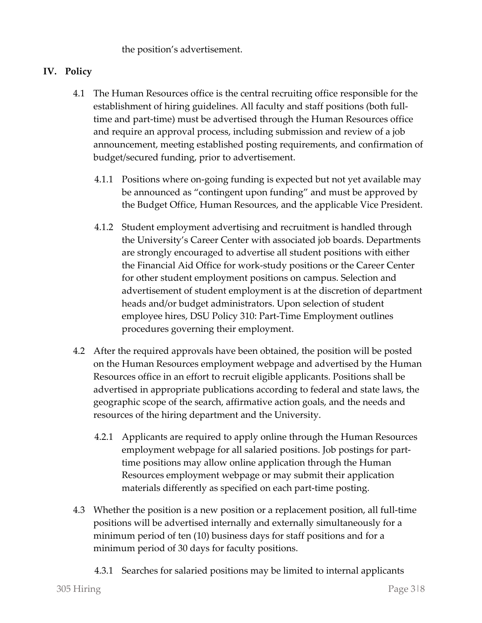the position's advertisement.

#### **IV. Policy**

- 4.1 The Human Resources office is the central recruiting office responsible for the establishment of hiring guidelines. All faculty and staff positions (both fulltime and part-time) must be advertised through the Human Resources office and require an approval process, including submission and review of a job announcement, meeting established posting requirements, and confirmation of budget/secured funding, prior to advertisement.
	- 4.1.1 Positions where on-going funding is expected but not yet available may be announced as "contingent upon funding" and must be approved by the Budget Office, Human Resources, and the applicable Vice President.
	- 4.1.2 Student employment advertising and recruitment is handled through the University's Career Center with associated job boards. Departments are strongly encouraged to advertise all student positions with either the Financial Aid Office for work-study positions or the Career Center for other student employment positions on campus. Selection and advertisement of student employment is at the discretion of department heads and/or budget administrators. Upon selection of student employee hires, DSU Policy 310: Part-Time Employment outlines procedures governing their employment.
- 4.2 After the required approvals have been obtained, the position will be posted on the Human Resources employment webpage and advertised by the Human Resources office in an effort to recruit eligible applicants. Positions shall be advertised in appropriate publications according to federal and state laws, the geographic scope of the search, affirmative action goals, and the needs and resources of the hiring department and the University.
	- 4.2.1 Applicants are required to apply online through the Human Resources employment webpage for all salaried positions. Job postings for parttime positions may allow online application through the Human Resources employment webpage or may submit their application materials differently as specified on each part-time posting.
- 4.3 Whether the position is a new position or a replacement position, all full-time positions will be advertised internally and externally simultaneously for a minimum period of ten (10) business days for staff positions and for a minimum period of 30 days for faculty positions.
	- 4.3.1 Searches for salaried positions may be limited to internal applicants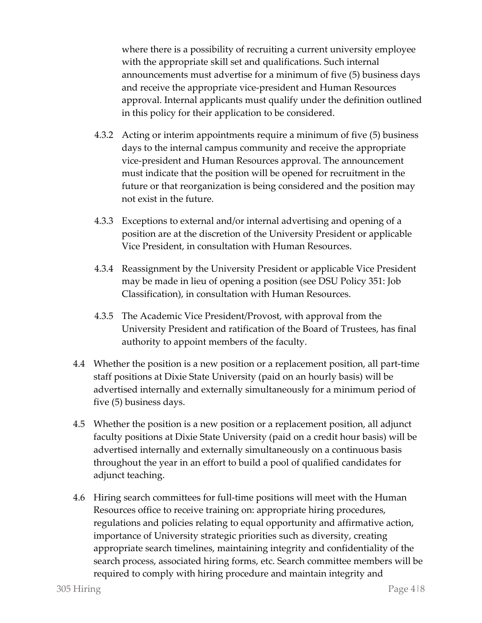where there is a possibility of recruiting a current university employee with the appropriate skill set and qualifications. Such internal announcements must advertise for a minimum of five (5) business days and receive the appropriate vice-president and Human Resources approval. Internal applicants must qualify under the definition outlined in this policy for their application to be considered.

- 4.3.2 Acting or interim appointments require a minimum of five (5) business days to the internal campus community and receive the appropriate vice-president and Human Resources approval. The announcement must indicate that the position will be opened for recruitment in the future or that reorganization is being considered and the position may not exist in the future.
- 4.3.3 Exceptions to external and/or internal advertising and opening of a position are at the discretion of the University President or applicable Vice President, in consultation with Human Resources.
- 4.3.4 Reassignment by the University President or applicable Vice President may be made in lieu of opening a position (see DSU Policy 351: Job Classification), in consultation with Human Resources.
- 4.3.5 The Academic Vice President/Provost, with approval from the University President and ratification of the Board of Trustees, has final authority to appoint members of the faculty.
- 4.4 Whether the position is a new position or a replacement position, all part-time staff positions at Dixie State University (paid on an hourly basis) will be advertised internally and externally simultaneously for a minimum period of five (5) business days.
- 4.5 Whether the position is a new position or a replacement position, all adjunct faculty positions at Dixie State University (paid on a credit hour basis) will be advertised internally and externally simultaneously on a continuous basis throughout the year in an effort to build a pool of qualified candidates for adjunct teaching.
- 4.6 Hiring search committees for full-time positions will meet with the Human Resources office to receive training on: appropriate hiring procedures, regulations and policies relating to equal opportunity and affirmative action, importance of University strategic priorities such as diversity, creating appropriate search timelines, maintaining integrity and confidentiality of the search process, associated hiring forms, etc. Search committee members will be required to comply with hiring procedure and maintain integrity and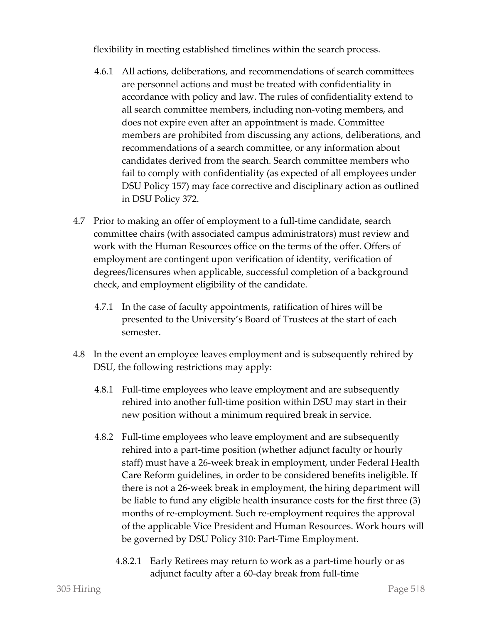flexibility in meeting established timelines within the search process.

- 4.6.1 All actions, deliberations, and recommendations of search committees are personnel actions and must be treated with confidentiality in accordance with policy and law. The rules of confidentiality extend to all search committee members, including non-voting members, and does not expire even after an appointment is made. Committee members are prohibited from discussing any actions, deliberations, and recommendations of a search committee, or any information about candidates derived from the search. Search committee members who fail to comply with confidentiality (as expected of all employees under DSU Policy 157) may face corrective and disciplinary action as outlined in DSU Policy 372.
- 4.7 Prior to making an offer of employment to a full-time candidate, search committee chairs (with associated campus administrators) must review and work with the Human Resources office on the terms of the offer. Offers of employment are contingent upon verification of identity, verification of degrees/licensures when applicable, successful completion of a background check, and employment eligibility of the candidate.
	- 4.7.1 In the case of faculty appointments, ratification of hires will be presented to the University's Board of Trustees at the start of each semester.
- 4.8 In the event an employee leaves employment and is subsequently rehired by DSU, the following restrictions may apply:
	- 4.8.1 Full-time employees who leave employment and are subsequently rehired into another full-time position within DSU may start in their new position without a minimum required break in service.
	- 4.8.2 Full-time employees who leave employment and are subsequently rehired into a part-time position (whether adjunct faculty or hourly staff) must have a 26-week break in employment, under Federal Health Care Reform guidelines, in order to be considered benefits ineligible. If there is not a 26-week break in employment, the hiring department will be liable to fund any eligible health insurance costs for the first three (3) months of re-employment. Such re-employment requires the approval of the applicable Vice President and Human Resources. Work hours will be governed by DSU Policy 310: Part-Time Employment.
		- 4.8.2.1 Early Retirees may return to work as a part-time hourly or as adjunct faculty after a 60-day break from full-time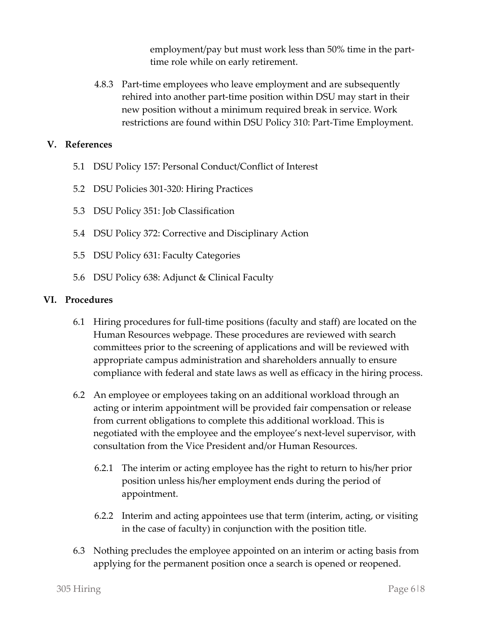employment/pay but must work less than 50% time in the parttime role while on early retirement.

4.8.3 Part-time employees who leave employment and are subsequently rehired into another part-time position within DSU may start in their new position without a minimum required break in service. Work restrictions are found within DSU Policy 310: Part-Time Employment.

#### **V. References**

- 5.1 DSU Policy 157: Personal Conduct/Conflict of Interest
- 5.2 DSU Policies 301-320: Hiring Practices
- 5.3 DSU Policy 351: Job Classification
- 5.4 DSU Policy 372: Corrective and Disciplinary Action
- 5.5 DSU Policy 631: Faculty Categories
- 5.6 DSU Policy 638: Adjunct & Clinical Faculty

#### **VI. Procedures**

- 6.1 Hiring procedures for full-time positions (faculty and staff) are located on the Human Resources webpage. These procedures are reviewed with search committees prior to the screening of applications and will be reviewed with appropriate campus administration and shareholders annually to ensure compliance with federal and state laws as well as efficacy in the hiring process.
- 6.2 An employee or employees taking on an additional workload through an acting or interim appointment will be provided fair compensation or release from current obligations to complete this additional workload. This is negotiated with the employee and the employee's next-level supervisor, with consultation from the Vice President and/or Human Resources.
	- 6.2.1 The interim or acting employee has the right to return to his/her prior position unless his/her employment ends during the period of appointment.
	- 6.2.2 Interim and acting appointees use that term (interim, acting, or visiting in the case of faculty) in conjunction with the position title.
- 6.3 Nothing precludes the employee appointed on an interim or acting basis from applying for the permanent position once a search is opened or reopened.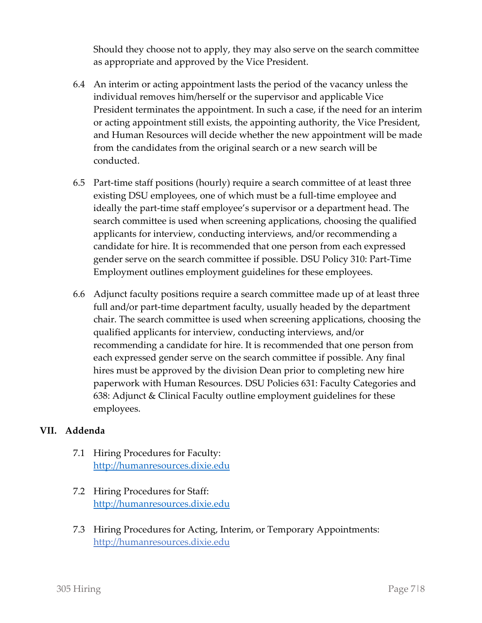Should they choose not to apply, they may also serve on the search committee as appropriate and approved by the Vice President.

- 6.4 An interim or acting appointment lasts the period of the vacancy unless the individual removes him/herself or the supervisor and applicable Vice President terminates the appointment. In such a case, if the need for an interim or acting appointment still exists, the appointing authority, the Vice President, and Human Resources will decide whether the new appointment will be made from the candidates from the original search or a new search will be conducted.
- 6.5 Part-time staff positions (hourly) require a search committee of at least three existing DSU employees, one of which must be a full-time employee and ideally the part-time staff employee's supervisor or a department head. The search committee is used when screening applications, choosing the qualified applicants for interview, conducting interviews, and/or recommending a candidate for hire. It is recommended that one person from each expressed gender serve on the search committee if possible. DSU Policy 310: Part-Time Employment outlines employment guidelines for these employees.
- 6.6 Adjunct faculty positions require a search committee made up of at least three full and/or part-time department faculty, usually headed by the department chair. The search committee is used when screening applications, choosing the qualified applicants for interview, conducting interviews, and/or recommending a candidate for hire. It is recommended that one person from each expressed gender serve on the search committee if possible. Any final hires must be approved by the division Dean prior to completing new hire paperwork with Human Resources. DSU Policies 631: Faculty Categories and 638: Adjunct & Clinical Faculty outline employment guidelines for these employees.

#### **VII. Addenda**

- 7.1 Hiring Procedures for Faculty: [http://humanresources.dixie.edu](http://humanresources.dixie.edu/)
- 7.2 Hiring Procedures for Staff: [http://humanresources.dixie.edu](http://humanresources.dixie.edu/hiring-procedures-staff/)
- 7.3 Hiring Procedures for Acting, Interim, or Temporary Appointments: http://humanresources.dixie.edu